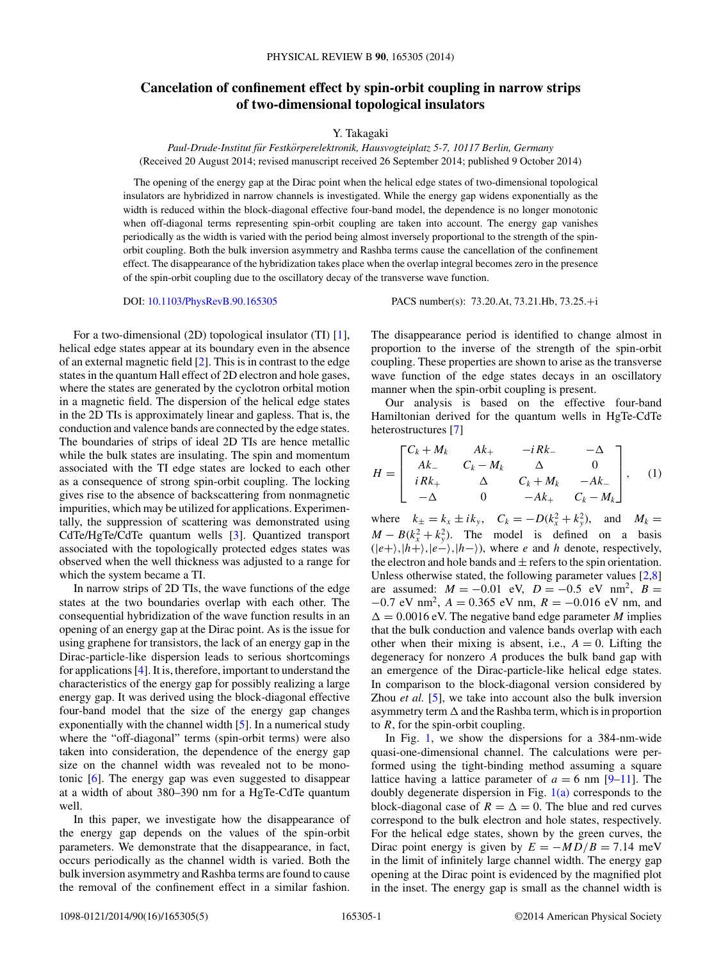## <span id="page-0-0"></span>**Cancelation of confinement effect by spin-orbit coupling in narrow strips of two-dimensional topological insulators**

## Y. Takagaki

*Paul-Drude-Institut fur Festk ¨ orperelektronik, Hausvogteiplatz 5-7, 10117 Berlin, Germany ¨* (Received 20 August 2014; revised manuscript received 26 September 2014; published 9 October 2014)

The opening of the energy gap at the Dirac point when the helical edge states of two-dimensional topological insulators are hybridized in narrow channels is investigated. While the energy gap widens exponentially as the width is reduced within the block-diagonal effective four-band model, the dependence is no longer monotonic when off-diagonal terms representing spin-orbit coupling are taken into account. The energy gap vanishes periodically as the width is varied with the period being almost inversely proportional to the strength of the spinorbit coupling. Both the bulk inversion asymmetry and Rashba terms cause the cancellation of the confinement effect. The disappearance of the hybridization takes place when the overlap integral becomes zero in the presence of the spin-orbit coupling due to the oscillatory decay of the transverse wave function.

DOI: [10.1103/PhysRevB.90.165305](http://dx.doi.org/10.1103/PhysRevB.90.165305) PACS number(s): 73*.*20*.*At*,* 73*.*21*.*Hb*,* 73*.*25*.*+i

For a two-dimensional (2D) topological insulator (TI) [\[1\]](#page-3-0), helical edge states appear at its boundary even in the absence of an external magnetic field [\[2\]](#page-3-0). This is in contrast to the edge states in the quantum Hall effect of 2D electron and hole gases, where the states are generated by the cyclotron orbital motion in a magnetic field. The dispersion of the helical edge states in the 2D TIs is approximately linear and gapless. That is, the conduction and valence bands are connected by the edge states. The boundaries of strips of ideal 2D TIs are hence metallic while the bulk states are insulating. The spin and momentum associated with the TI edge states are locked to each other as a consequence of strong spin-orbit coupling. The locking gives rise to the absence of backscattering from nonmagnetic impurities, which may be utilized for applications. Experimentally, the suppression of scattering was demonstrated using CdTe/HgTe/CdTe quantum wells [\[3\]](#page-3-0). Quantized transport associated with the topologically protected edges states was observed when the well thickness was adjusted to a range for which the system became a TI.

In narrow strips of 2D TIs, the wave functions of the edge states at the two boundaries overlap with each other. The consequential hybridization of the wave function results in an opening of an energy gap at the Dirac point. As is the issue for using graphene for transistors, the lack of an energy gap in the Dirac-particle-like dispersion leads to serious shortcomings for applications [\[4\]](#page-3-0). It is, therefore, important to understand the characteristics of the energy gap for possibly realizing a large energy gap. It was derived using the block-diagonal effective four-band model that the size of the energy gap changes exponentially with the channel width [\[5\]](#page-3-0). In a numerical study where the "off-diagonal" terms (spin-orbit terms) were also taken into consideration, the dependence of the energy gap size on the channel width was revealed not to be monotonic [\[6\]](#page-3-0). The energy gap was even suggested to disappear at a width of about 380–390 nm for a HgTe-CdTe quantum well.

In this paper, we investigate how the disappearance of the energy gap depends on the values of the spin-orbit parameters. We demonstrate that the disappearance, in fact, occurs periodically as the channel width is varied. Both the bulk inversion asymmetry and Rashba terms are found to cause the removal of the confinement effect in a similar fashion.

The disappearance period is identified to change almost in proportion to the inverse of the strength of the spin-orbit coupling. These properties are shown to arise as the transverse wave function of the edge states decays in an oscillatory manner when the spin-orbit coupling is present.

Our analysis is based on the effective four-band Hamiltonian derived for the quantum wells in HgTe-CdTe heterostructures [\[7\]](#page-3-0)

$$
H = \begin{bmatrix} C_k + M_k & Ak_+ & -iRk_- & -\Delta \\ Ak_- & C_k - M_k & \Delta & 0 \\ iRk_+ & \Delta & C_k + M_k & -Ak_- \\ -\Delta & 0 & -Ak_+ & C_k - M_k \end{bmatrix}, \quad (1)
$$

where  $k_{\pm} = k_x \pm ik_y$ ,  $C_k = -D(k_x^2 + k_y^2)$ , and  $M_k =$  $M - B(k_x^2 + k_y^2)$ . The model is defined on a basis  $(|e+\rangle, |h+\rangle, |e-\rangle, |h-\rangle)$ , where *e* and *h* denote, respectively, the electron and hole bands and  $\pm$  refers to the spin orientation. Unless otherwise stated, the following parameter values  $[2,8]$ are assumed:  $M = -0.01$  eV,  $D = -0.5$  eV nm<sup>2</sup>,  $B =$ <sup>−</sup>0*.*7 eV nm2, *<sup>A</sup>* <sup>=</sup> <sup>0</sup>*.*365 eV nm, *<sup>R</sup>* = −0*.*016 eV nm, and  $\Delta = 0.0016$  eV. The negative band edge parameter *M* implies that the bulk conduction and valence bands overlap with each other when their mixing is absent, i.e.,  $A = 0$ . Lifting the degeneracy for nonzero *A* produces the bulk band gap with an emergence of the Dirac-particle-like helical edge states. In comparison to the block-diagonal version considered by Zhou *et al.* [\[5\]](#page-3-0), we take into account also the bulk inversion asymmetry term  $\Delta$  and the Rashba term, which is in proportion to *R*, for the spin-orbit coupling.

In Fig. [1,](#page-1-0) we show the dispersions for a 384-nm-wide quasi-one-dimensional channel. The calculations were performed using the tight-binding method assuming a square lattice having a lattice parameter of  $a = 6$  nm [\[9–11\]](#page-4-0). The doubly degenerate dispersion in Fig.  $1(a)$  corresponds to the block-diagonal case of  $R = \Delta = 0$ . The blue and red curves correspond to the bulk electron and hole states, respectively. For the helical edge states, shown by the green curves, the Dirac point energy is given by  $E = -MD/B = 7.14$  meV in the limit of infinitely large channel width. The energy gap opening at the Dirac point is evidenced by the magnified plot in the inset. The energy gap is small as the channel width is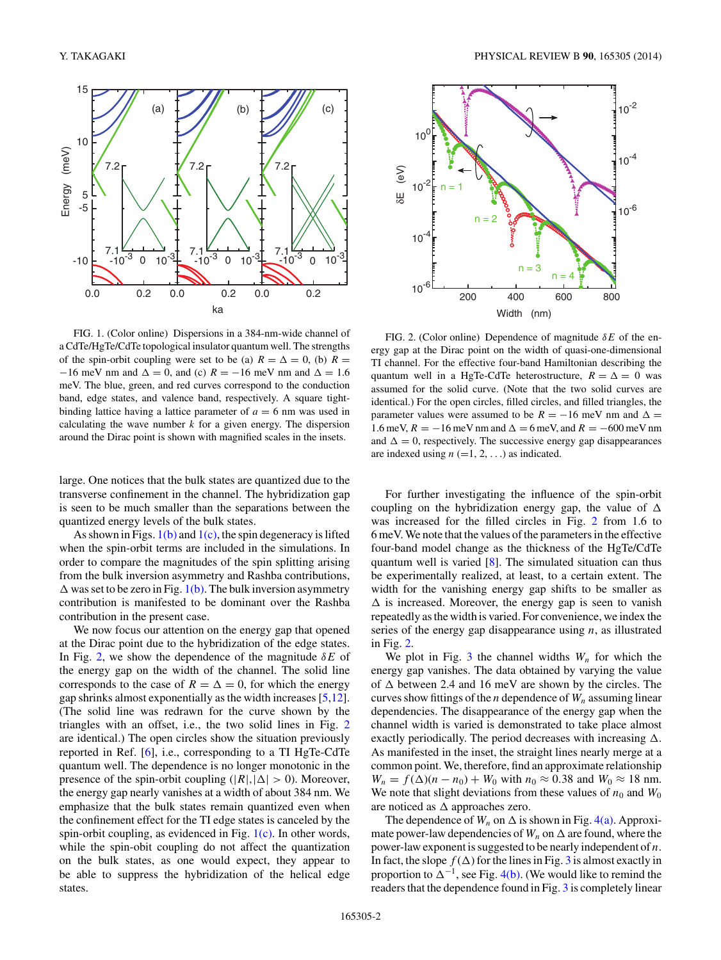<span id="page-1-0"></span>

FIG. 1. (Color online) Dispersions in a 384-nm-wide channel of a CdTe/HgTe/CdTe topological insulator quantum well. The strengths of the spin-orbit coupling were set to be (a)  $R = \Delta = 0$ , (b)  $R =$  $-16$  meV nm and  $\Delta = 0$ , and (c)  $R = -16$  meV nm and  $\Delta = 1.6$ meV. The blue, green, and red curves correspond to the conduction band, edge states, and valence band, respectively. A square tightbinding lattice having a lattice parameter of  $a = 6$  nm was used in calculating the wave number  $k$  for a given energy. The dispersion around the Dirac point is shown with magnified scales in the insets.

large. One notices that the bulk states are quantized due to the transverse confinement in the channel. The hybridization gap is seen to be much smaller than the separations between the quantized energy levels of the bulk states.

As shown in Figs.  $1(b)$  and  $1(c)$ , the spin degeneracy is lifted when the spin-orbit terms are included in the simulations. In order to compare the magnitudes of the spin splitting arising from the bulk inversion asymmetry and Rashba contributions,  $\Delta$  was set to be zero in Fig. 1(b). The bulk inversion asymmetry contribution is manifested to be dominant over the Rashba contribution in the present case.

We now focus our attention on the energy gap that opened at the Dirac point due to the hybridization of the edge states. In Fig. 2, we show the dependence of the magnitude *δE* of the energy gap on the width of the channel. The solid line corresponds to the case of  $R = \Delta = 0$ , for which the energy gap shrinks almost exponentially as the width increases [\[5](#page-3-0)[,12\]](#page-4-0). (The solid line was redrawn for the curve shown by the triangles with an offset, i.e., the two solid lines in Fig. 2 are identical.) The open circles show the situation previously reported in Ref. [\[6\]](#page-3-0), i.e., corresponding to a TI HgTe-CdTe quantum well. The dependence is no longer monotonic in the presence of the spin-orbit coupling ( $|R|, |\Delta| > 0$ ). Moreover, the energy gap nearly vanishes at a width of about 384 nm. We emphasize that the bulk states remain quantized even when the confinement effect for the TI edge states is canceled by the spin-orbit coupling, as evidenced in Fig.  $1(c)$ . In other words, while the spin-obit coupling do not affect the quantization on the bulk states, as one would expect, they appear to be able to suppress the hybridization of the helical edge states.



FIG. 2. (Color online) Dependence of magnitude *δE* of the energy gap at the Dirac point on the width of quasi-one-dimensional TI channel. For the effective four-band Hamiltonian describing the quantum well in a HgTe-CdTe heterostructure,  $R = \Delta = 0$  was assumed for the solid curve. (Note that the two solid curves are identical.) For the open circles, filled circles, and filled triangles, the parameter values were assumed to be  $R = -16$  meV nm and  $\Delta =$ 1.6 meV,  $R = -16$  meV nm and  $\Delta = 6$  meV, and  $R = -600$  meV nm and  $\Delta = 0$ , respectively. The successive energy gap disappearances are indexed using  $n (=1, 2, ...)$  as indicated.

For further investigating the influence of the spin-orbit coupling on the hybridization energy gap, the value of  $\Delta$ was increased for the filled circles in Fig. 2 from 1.6 to 6 meV.We note that the values of the parameters in the effective four-band model change as the thickness of the HgTe/CdTe quantum well is varied  $[8]$ . The simulated situation can thus be experimentally realized, at least, to a certain extent. The width for the vanishing energy gap shifts to be smaller as *-* is increased. Moreover, the energy gap is seen to vanish repeatedly as the width is varied. For convenience, we index the series of the energy gap disappearance using *n*, as illustrated in Fig. 2.

We plot in Fig. [3](#page-2-0) the channel widths  $W_n$  for which the energy gap vanishes. The data obtained by varying the value of  $\Delta$  between 2.4 and 16 meV are shown by the circles. The curves show fittings of the  $n$  dependence of  $W_n$  assuming linear dependencies. The disappearance of the energy gap when the channel width is varied is demonstrated to take place almost exactly periodically. The period decreases with increasing  $\Delta$ . As manifested in the inset, the straight lines nearly merge at a common point. We, therefore, find an approximate relationship  $W_n = f(\Delta)(n - n_0) + W_0$  with  $n_0 \approx 0.38$  and  $W_0 \approx 18$  nm. We note that slight deviations from these values of  $n_0$  and  $W_0$ are noticed as  $\Delta$  approaches zero.

The dependence of  $W_n$  on  $\Delta$  is shown in Fig. [4\(a\).](#page-2-0) Approximate power-law dependencies of  $W_n$  on  $\Delta$  are found, where the power-law exponent is suggested to be nearly independent of *n*. In fact, the slope  $f(\Delta)$  for the lines in Fig. [3](#page-2-0) is almost exactly in proportion to  $\Delta^{-1}$ , see Fig. [4\(b\).](#page-2-0) (We would like to remind the readers that the dependence found in Fig. [3](#page-2-0) is completely linear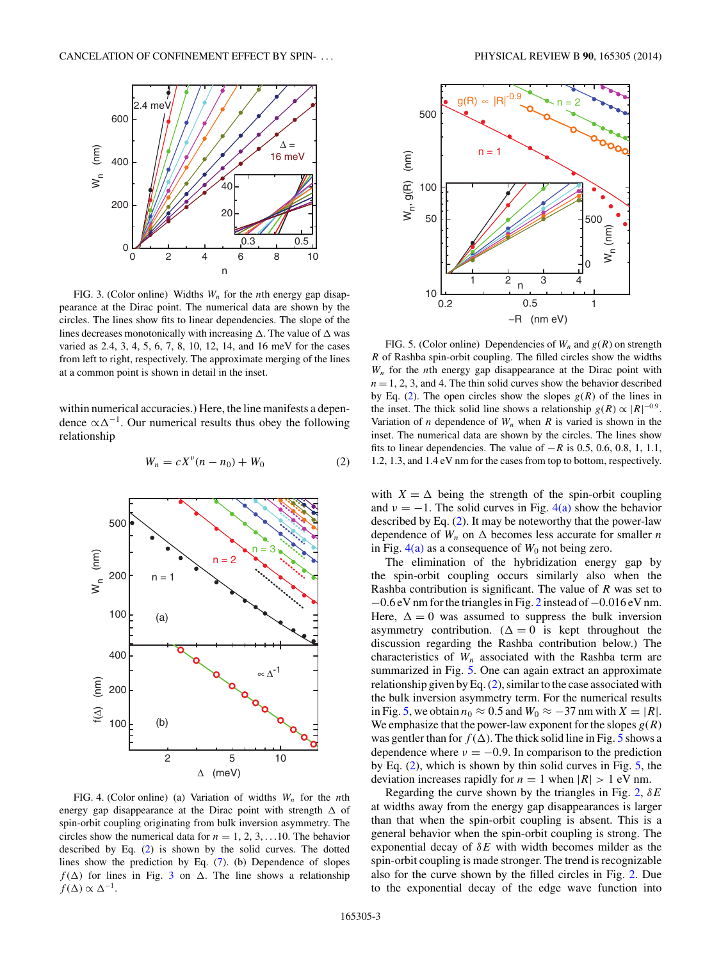<span id="page-2-0"></span>

FIG. 3. (Color online) Widths *Wn* for the *n*th energy gap disappearance at the Dirac point. The numerical data are shown by the circles. The lines show fits to linear dependencies. The slope of the lines decreases monotonically with increasing  $\Delta$ . The value of  $\Delta$  was varied as 2.4, 3, 4, 5, 6, 7, 8, 10, 12, 14, and 16 meV for the cases from left to right, respectively. The approximate merging of the lines at a common point is shown in detail in the inset.

within numerical accuracies.) Here, the line manifests a dependence  $\alpha \Delta^{-1}$ . Our numerical results thus obey the following relationship

$$
W_n = cX^{\nu}(n - n_0) + W_0 \tag{2}
$$



FIG. 4. (Color online) (a) Variation of widths *Wn* for the *n*th energy gap disappearance at the Dirac point with strength  $\Delta$  of spin-orbit coupling originating from bulk inversion asymmetry. The circles show the numerical data for  $n = 1, 2, 3, \ldots$ 10. The behavior described by Eq. (2) is shown by the solid curves. The dotted lines show the prediction by Eq. [\(7\)](#page-3-0). (b) Dependence of slopes  $f(\Delta)$  for lines in Fig. 3 on  $\Delta$ . The line shows a relationship  $f(\Delta) \propto \Delta^{-1}.$ 



FIG. 5. (Color online) Dependencies of  $W_n$  and  $g(R)$  on strength *R* of Rashba spin-orbit coupling. The filled circles show the widths *Wn* for the *n*th energy gap disappearance at the Dirac point with  $n = 1, 2, 3$ , and 4. The thin solid curves show the behavior described by Eq. (2). The open circles show the slopes  $g(R)$  of the lines in the inset. The thick solid line shows a relationship  $g(R) \propto |R|^{-0.9}$ . Variation of *n* dependence of  $W_n$  when *R* is varied is shown in the inset. The numerical data are shown by the circles. The lines show fits to linear dependencies. The value of −*R* is 0.5, 0.6, 0.8, 1, 1.1, 1.2, 1.3, and 1.4 eV nm for the cases from top to bottom, respectively.

with  $X = \Delta$  being the strength of the spin-orbit coupling and  $v = -1$ . The solid curves in Fig. 4(a) show the behavior described by Eq. (2). It may be noteworthy that the power-law dependence of  $W_n$  on  $\Delta$  becomes less accurate for smaller *n* in Fig.  $4(a)$  as a consequence of  $W_0$  not being zero.

The elimination of the hybridization energy gap by the spin-orbit coupling occurs similarly also when the Rashba contribution is significant. The value of *R* was set to −0*.*6 eV nm for the triangles in Fig. [2](#page-1-0) instead of−0*.*016 eV nm. Here,  $\Delta = 0$  was assumed to suppress the bulk inversion asymmetry contribution.  $(\Delta = 0$  is kept throughout the discussion regarding the Rashba contribution below.) The characteristics of *Wn* associated with the Rashba term are summarized in Fig. 5. One can again extract an approximate relationship given by Eq. (2), similar to the case associated with the bulk inversion asymmetry term. For the numerical results in Fig. 5, we obtain  $n_0 \approx 0.5$  and  $W_0 \approx -37$  nm with  $X = |R|$ . We emphasize that the power-law exponent for the slopes  $g(R)$ was gentler than for  $f(\Delta)$ . The thick solid line in Fig. 5 shows a dependence where  $v = -0.9$ . In comparison to the prediction by Eq. (2), which is shown by thin solid curves in Fig. 5, the deviation increases rapidly for  $n = 1$  when  $|R| > 1$  eV nm.

Regarding the curve shown by the triangles in Fig. [2,](#page-1-0) *δE* at widths away from the energy gap disappearances is larger than that when the spin-orbit coupling is absent. This is a general behavior when the spin-orbit coupling is strong. The exponential decay of *δE* with width becomes milder as the spin-orbit coupling is made stronger. The trend is recognizable also for the curve shown by the filled circles in Fig. [2.](#page-1-0) Due to the exponential decay of the edge wave function into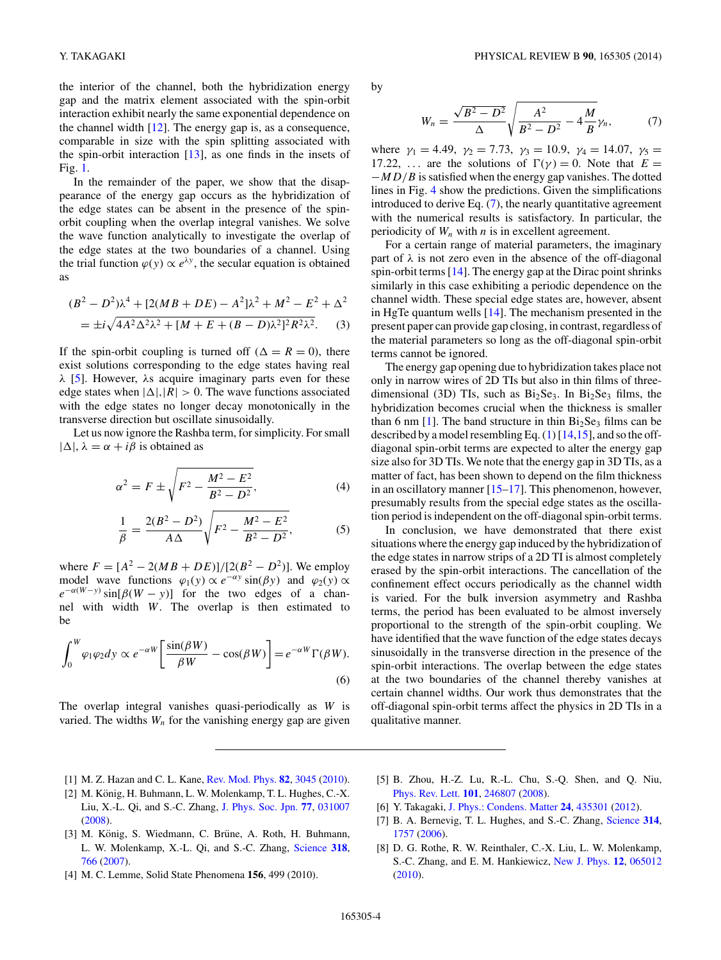<span id="page-3-0"></span>the interior of the channel, both the hybridization energy gap and the matrix element associated with the spin-orbit interaction exhibit nearly the same exponential dependence on the channel width  $[12]$ . The energy gap is, as a consequence, comparable in size with the spin splitting associated with the spin-orbit interaction  $[13]$ , as one finds in the insets of Fig. [1.](#page-1-0)

In the remainder of the paper, we show that the disappearance of the energy gap occurs as the hybridization of the edge states can be absent in the presence of the spinorbit coupling when the overlap integral vanishes. We solve the wave function analytically to investigate the overlap of the edge states at the two boundaries of a channel. Using the trial function  $\varphi(y) \propto e^{\lambda y}$ , the secular equation is obtained as

$$
(B2 - D2)\lambda4 + [2(MB + DE) - A2]\lambda2 + M2 - E2 + \Delta2
$$
  
= ±i $\sqrt{4A2\Delta2\lambda2 + [M + E + (B - D)\lambda2]2R2\lambda2}$ . (3)

If the spin-orbit coupling is turned off ( $\Delta = R = 0$ ), there exist solutions corresponding to the edge states having real *λ* [5]. However, *λ*s acquire imaginary parts even for these edge states when  $|\Delta|$ ,  $|R| > 0$ . The wave functions associated with the edge states no longer decay monotonically in the transverse direction but oscillate sinusoidally.

Let us now ignore the Rashba term, for simplicity. For small  $|\Delta|$ ,  $\lambda = \alpha + i\beta$  is obtained as

$$
\alpha^2 = F \pm \sqrt{F^2 - \frac{M^2 - E^2}{B^2 - D^2}},\tag{4}
$$

$$
\frac{1}{\beta} = \frac{2(B^2 - D^2)}{A\Delta} \sqrt{F^2 - \frac{M^2 - E^2}{B^2 - D^2}},
$$
\n(5)

where  $F = [A^2 - 2(MB + DE)]/[2(B^2 - D^2)]$ . We employ model wave functions  $\varphi_1(y) \propto e^{-\alpha y} \sin(\beta y)$  and  $\varphi_2(y) \propto$  $e^{-\alpha(W-y)}\sin[\beta(W-y)]$  for the two edges of a channel with width *W*. The overlap is then estimated to be

$$
\int_0^W \varphi_1 \varphi_2 dy \propto e^{-\alpha W} \bigg[ \frac{\sin(\beta W)}{\beta W} - \cos(\beta W) \bigg] = e^{-\alpha W} \Gamma(\beta W). \tag{6}
$$

The overlap integral vanishes quasi-periodically as *W* is varied. The widths  $W_n$  for the vanishing energy gap are given by

$$
W_n = \frac{\sqrt{B^2 - D^2}}{\Delta} \sqrt{\frac{A^2}{B^2 - D^2} - 4\frac{M}{B}} \gamma_n, \tag{7}
$$

where  $\gamma_1 = 4.49$ ,  $\gamma_2 = 7.73$ ,  $\gamma_3 = 10.9$ ,  $\gamma_4 = 14.07$ ,  $\gamma_5 =$ 17.22, ... are the solutions of  $\Gamma(\gamma) = 0$ . Note that  $E =$ −*MD/B* is satisfied when the energy gap vanishes. The dotted lines in Fig. [4](#page-2-0) show the predictions. Given the simplifications introduced to derive Eq. (7), the nearly quantitative agreement with the numerical results is satisfactory. In particular, the periodicity of  $W_n$  with  $n$  is in excellent agreement.

For a certain range of material parameters, the imaginary part of  $\lambda$  is not zero even in the absence of the off-diagonal spin-orbit terms [\[14\]](#page-4-0). The energy gap at the Dirac point shrinks similarly in this case exhibiting a periodic dependence on the channel width. These special edge states are, however, absent in HgTe quantum wells [\[14\]](#page-4-0). The mechanism presented in the present paper can provide gap closing, in contrast, regardless of the material parameters so long as the off-diagonal spin-orbit terms cannot be ignored.

The energy gap opening due to hybridization takes place not only in narrow wires of 2D TIs but also in thin films of threedimensional (3D) TIs, such as  $Bi<sub>2</sub>Se<sub>3</sub>$ . In  $Bi<sub>2</sub>Se<sub>3</sub>$  films, the hybridization becomes crucial when the thickness is smaller than 6 nm [1]. The band structure in thin  $Bi<sub>2</sub>Se<sub>3</sub>$  films can be described by a model resembling Eq.  $(1)$  [\[14,15\]](#page-4-0), and so the offdiagonal spin-orbit terms are expected to alter the energy gap size also for 3D TIs. We note that the energy gap in 3D TIs, as a matter of fact, has been shown to depend on the film thickness in an oscillatory manner [\[15–17\]](#page-4-0). This phenomenon, however, presumably results from the special edge states as the oscillation period is independent on the off-diagonal spin-orbit terms.

In conclusion, we have demonstrated that there exist situations where the energy gap induced by the hybridization of the edge states in narrow strips of a 2D TI is almost completely erased by the spin-orbit interactions. The cancellation of the confinement effect occurs periodically as the channel width is varied. For the bulk inversion asymmetry and Rashba terms, the period has been evaluated to be almost inversely proportional to the strength of the spin-orbit coupling. We have identified that the wave function of the edge states decays sinusoidally in the transverse direction in the presence of the spin-orbit interactions. The overlap between the edge states at the two boundaries of the channel thereby vanishes at certain channel widths. Our work thus demonstrates that the off-diagonal spin-orbit terms affect the physics in 2D TIs in a qualitative manner.

- [1] M. Z. Hazan and C. L. Kane, [Rev. Mod. Phys.](http://dx.doi.org/10.1103/RevModPhys.82.3045) **[82](http://dx.doi.org/10.1103/RevModPhys.82.3045)**, [3045](http://dx.doi.org/10.1103/RevModPhys.82.3045) [\(2010\)](http://dx.doi.org/10.1103/RevModPhys.82.3045).
- [2] M. König, H. Buhmann, L. W. Molenkamp, T. L. Hughes, C.-X. Liu, X.-L. Qi, and S.-C. Zhang, [J. Phys. Soc. Jpn.](http://dx.doi.org/10.1143/JPSJ.77.031007) **[77](http://dx.doi.org/10.1143/JPSJ.77.031007)**, [031007](http://dx.doi.org/10.1143/JPSJ.77.031007) [\(2008\)](http://dx.doi.org/10.1143/JPSJ.77.031007).
- [3] M. König, S. Wiedmann, C. Brüne, A. Roth, H. Buhmann, L. W. Molenkamp, X.-L. Qi, and S.-C. Zhang, [Science](http://dx.doi.org/10.1126/science.1148047) **[318](http://dx.doi.org/10.1126/science.1148047)**, [766](http://dx.doi.org/10.1126/science.1148047) [\(2007\)](http://dx.doi.org/10.1126/science.1148047).
- [4] M. C. Lemme, Solid State Phenomena **156**, 499 (2010).
- [5] B. Zhou, H.-Z. Lu, R.-L. Chu, S.-Q. Shen, and Q. Niu, [Phys. Rev. Lett.](http://dx.doi.org/10.1103/PhysRevLett.101.246807) **[101](http://dx.doi.org/10.1103/PhysRevLett.101.246807)**, [246807](http://dx.doi.org/10.1103/PhysRevLett.101.246807) [\(2008\)](http://dx.doi.org/10.1103/PhysRevLett.101.246807).
- [6] Y. Takagaki, [J. Phys.: Condens. Matter](http://dx.doi.org/10.1088/0953-8984/24/43/435301) **[24](http://dx.doi.org/10.1088/0953-8984/24/43/435301)**, [435301](http://dx.doi.org/10.1088/0953-8984/24/43/435301) [\(2012\)](http://dx.doi.org/10.1088/0953-8984/24/43/435301).
- [7] B. A. Bernevig, T. L. Hughes, and S.-C. Zhang, [Science](http://dx.doi.org/10.1126/science.1133734) **[314](http://dx.doi.org/10.1126/science.1133734)**, [1757](http://dx.doi.org/10.1126/science.1133734) [\(2006\)](http://dx.doi.org/10.1126/science.1133734).
- [8] D. G. Rothe, R. W. Reinthaler, C.-X. Liu, L. W. Molenkamp, S.-C. Zhang, and E. M. Hankiewicz, [New J. Phys.](http://dx.doi.org/10.1088/1367-2630/12/6/065012) **[12](http://dx.doi.org/10.1088/1367-2630/12/6/065012)**, [065012](http://dx.doi.org/10.1088/1367-2630/12/6/065012) [\(2010\)](http://dx.doi.org/10.1088/1367-2630/12/6/065012).